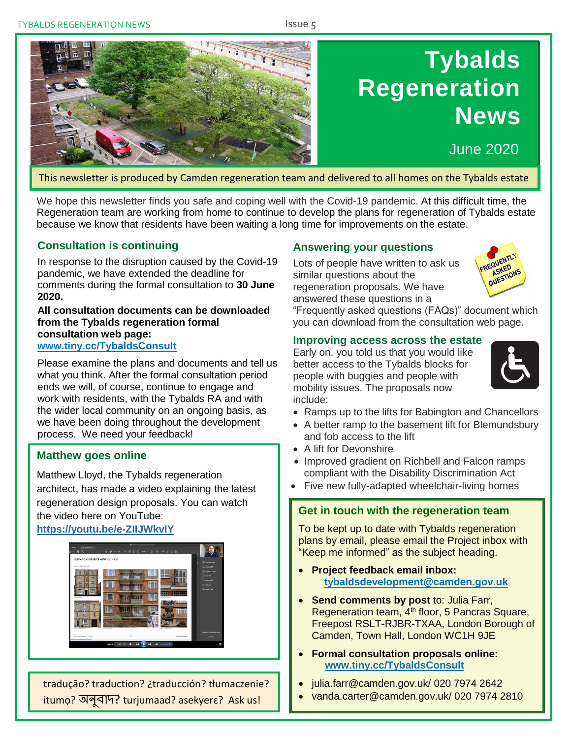.

# **Tybalds Regeneration News**

June 2020

This newsletter is produced by Camden regeneration team and delivered to all homes on the Tybalds estate

We hope this newsletter finds you safe and coping well with the Covid-19 pandemic. At this difficult time, the Regeneration team are working from home to continue to develop the plans for regeneration of Tybalds estate because we know that residents have been waiting a long time for improvements on the estate.

# **Consultation is continuing**

In response to the disruption caused by the Covid-19 pandemic, we have extended the deadline for comments during the formal consultation to **30 June 2020.** 

**All consultation documents can be downloaded from the Tybalds regeneration formal consultation web page: [www.tiny.cc/TybaldsConsult](http://www.tiny.cc/TybaldsConsult)**

Please examine the plans and documents and tell us what you think. After the formal consultation period ends we will, of course, continue to engage and work with residents, with the Tybalds RA and with the wider local community on an ongoing basis, as we have been doing throughout the development process. We need your feedback!

#### **Matthew goes online**

Matthew Lloyd, the Tybalds regeneration architect, has made a video explaining the latest regeneration design proposals. You can watch the video here on YouTube:

#### **<https://youtu.be/e-ZIIJWkvIY>**



tradução? traduction? ¿traducción? tłumaczenie? itumọ? অনুবাদ? turjumaad? asekyerɛ? Ask us!

#### **Answering your questions**

Lots of people have written to ask us similar questions about the regeneration proposals. We have answered these questions in a



"Frequently asked questions (FAQs)" document which you can download from the consultation web page.

#### **Improving access across the estate**

Early on, you told us that you would like better access to the Tybalds blocks for people with buggies and people with mobility issues. The proposals now include:



- Ramps up to the lifts for Babington and Chancellors
- A better ramp to the basement lift for Blemundsbury and fob access to the lift
- A lift for Devonshire
- Improved gradient on Richbell and Falcon ramps compliant with the Disability Discrimination Act
- Five new fully-adapted wheelchair-living homes

# **Get in touch with the regeneration team**

To be kept up to date with Tybalds regeneration plans by email, please email the Project inbox with "Keep me informed" as the subject heading.

- **Project feedback email inbox: [tybaldsdevelopment@camden.gov.uk](mailto:tybaldsdevelopment@camden.gov.uk)**
- **Send comments by post** to: Julia Farr, Regeneration team, 4<sup>th</sup> floor, 5 Pancras Square, Freepost RSLT-RJBR-TXAA, London Borough of Camden, Town Hall, London WC1H 9JE
- **Formal consultation proposals online: [www.tiny.cc/TybaldsConsult](http://www.tiny.cc/TybaldsConsult)**
- julia.farr@camden.gov.uk/ 020 7974 2642
- vanda.carter@camden.gov.uk/ 020 7974 2810